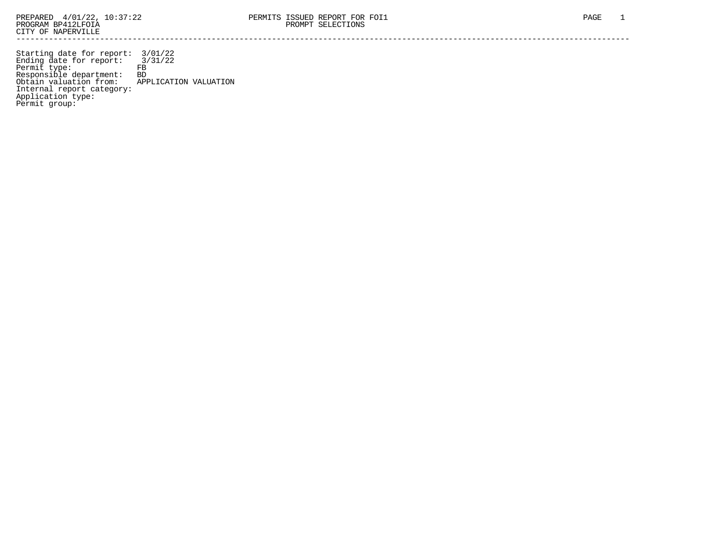Starting date for report: 3/01/22 Ending date for report: 3/31/22 Permit type: FB Responsible department: BD Obtain valuation from: APPLICATION VALUATION Internal report category: Application type: Permit group: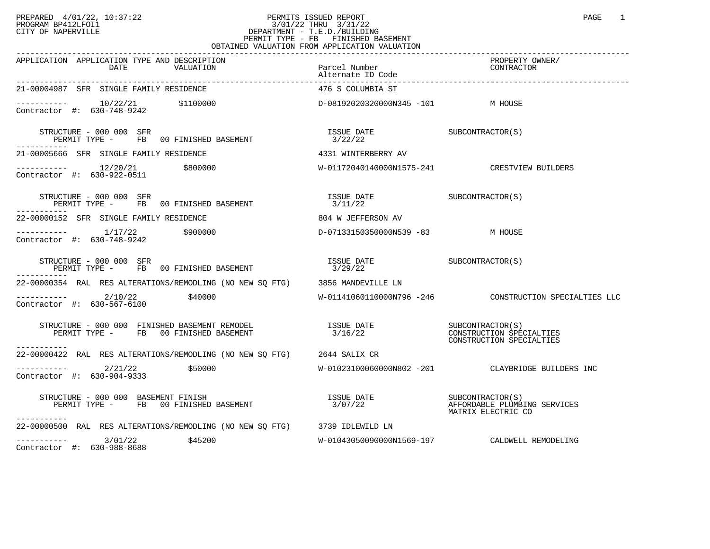## PREPARED 4/01/22, 10:37:22 PERMITS ISSUED REPORT<br>PROGRAM BP412LFOI1 PAGE 1 PROGRAM BP412LFOI1 3/01/22 THRU 3/31/22 CITY OF NAPERVILLE **Example 20** CITY OF NAPERVILLE PERMIT TYPE - FB FINISHED BASEMENT OBTAINED VALUATION FROM APPLICATION VALUATION

| APPLICATION APPLICATION TYPE AND DESCRIPTION<br>DATE<br>VALUATION                           | Parcel Number<br>Alternate ID Code     | PROPERTY OWNER/<br>CONTRACTOR                                            |
|---------------------------------------------------------------------------------------------|----------------------------------------|--------------------------------------------------------------------------|
| 21-00004987 SFR SINGLE FAMILY RESIDENCE                                                     | 476 S COLUMBIA ST                      |                                                                          |
| ----------- 10/22/21 \$1100000<br>Contractor #: 630-748-9242                                | D-08192020320000N345 -101 M HOUSE      |                                                                          |
| STRUCTURE - 000 000 SFR<br>PERMIT TYPE - FB 00 FINISHED BASEMENT                            | ISSUE DATE SUBCONTRACTOR(S)<br>3/22/22 |                                                                          |
| 21-00005666 SFR SINGLE FAMILY RESIDENCE                                                     | 4331 WINTERBERRY AV                    |                                                                          |
| ----------- 12/20/21 \$800000<br>Contractor #: 630-922-0511 \$800000                        |                                        | W-01172040140000N1575-241 CRESTVIEW BUILDERS                             |
| STRUCTURE - 000 000 SFR<br>PERMIT TYPE - FB 00 FINISHED BASEMENT                            | ISSUE DATE SUBCONTRACTOR(S)<br>3/11/22 |                                                                          |
| 22-00000152 SFR SINGLE FAMILY RESIDENCE                                                     | 804 W JEFFERSON AV                     |                                                                          |
| ----------- 1/17/22 \$900000<br>Contractor #: 630-748-9242                                  | D-07133150350000N539 -83 M HOUSE       |                                                                          |
| STRUCTURE - 000 000 SFR<br>PERMIT TYPE - FB 00 FINISHED BASEMENT                            | ISSUE DATE<br>3/29/22<br>3/29/22       |                                                                          |
| 22-00000354 RAL RES ALTERATIONS/REMODLING (NO NEW SO FTG) 3856 MANDEVILLE LN                |                                        |                                                                          |
| $\frac{2}{10/22}$<br>\$40000<br>Contractor #: 630-567-6100                                  |                                        |                                                                          |
|                                                                                             |                                        | SUBCONTRACTOR(S)<br>CONSTRUCTION SPECIALTIES<br>CONSTRUCTION SPECIALTIES |
| 22-00000422 RAL RES ALTERATIONS/REMODLING (NO NEW SO FTG) 2644 SALIX CR                     |                                        |                                                                          |
| $\frac{2}{21/22}$ \$50000<br>optrogtor #: 630,004,0333<br>Contractor #: 630-904-9333        |                                        | W-01023100060000N802 -201 CLAYBRIDGE BUILDERS INC                        |
| STRUCTURE - 000 000 BASEMENT FINISH<br>PERMIT TYPE - FB 00 FINISHED BASEMENT<br>----------- | ISSUE DATE SUBCONTRACTOR(S)<br>3/07/22 | AFFORDABLE PLUMBING SERVICES<br>MATRIX ELECTRIC CO                       |
| 22-00000500 RAL RES ALTERATIONS/REMODLING (NO NEW SO FTG) 3739 IDLEWILD LN                  |                                        |                                                                          |
| $---------$ 3/01/22 \$45200<br>Contractor #: 630-988-8688                                   |                                        |                                                                          |